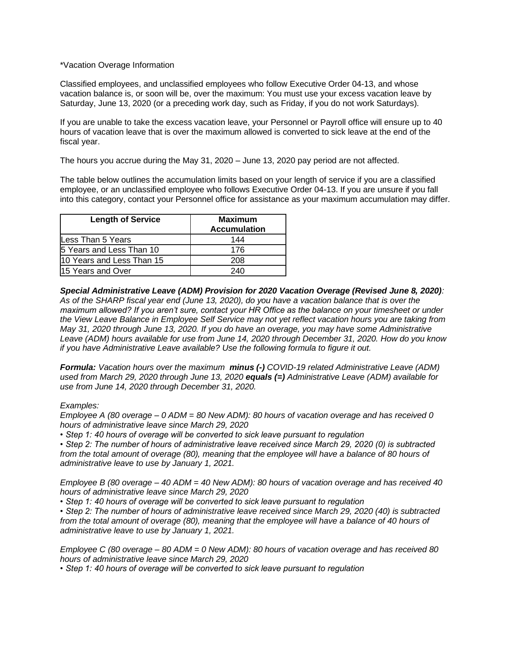## \*Vacation Overage Information

Classified employees, and unclassified employees who follow Executive Order 04-13, and whose vacation balance is, or soon will be, over the maximum: You must use your excess vacation leave by Saturday, June 13, 2020 (or a preceding work day, such as Friday, if you do not work Saturdays).

If you are unable to take the excess vacation leave, your Personnel or Payroll office will ensure up to 40 hours of vacation leave that is over the maximum allowed is converted to sick leave at the end of the fiscal year.

The hours you accrue during the May 31, 2020 – June 13, 2020 pay period are not affected.

The table below outlines the accumulation limits based on your length of service if you are a classified employee, or an unclassified employee who follows Executive Order 04-13. If you are unsure if you fall into this category, contact your Personnel office for assistance as your maximum accumulation may differ.

| <b>Length of Service</b>  | <b>Maximum</b><br><b>Accumulation</b> |
|---------------------------|---------------------------------------|
| Less Than 5 Years         | 144                                   |
| 5 Years and Less Than 10  | 176                                   |
| 10 Years and Less Than 15 | 208                                   |
| 15 Years and Over         | 240                                   |

*Special Administrative Leave (ADM) Provision for 2020 Vacation Overage (Revised June 8, 2020): As of the SHARP fiscal year end (June 13, 2020), do you have a vacation balance that is over the maximum allowed? If you aren't sure, contact your HR Office as the balance on your timesheet or under the View Leave Balance in Employee Self Service may not yet reflect vacation hours you are taking from May 31, 2020 through June 13, 2020. If you do have an overage, you may have some Administrative Leave (ADM) hours available for use from June 14, 2020 through December 31, 2020. How do you know if you have Administrative Leave available? Use the following formula to figure it out.* 

*Formula: Vacation hours over the maximum minus (-) COVID-19 related Administrative Leave (ADM) used from March 29, 2020 through June 13, 2020 equals (=) Administrative Leave (ADM) available for use from June 14, 2020 through December 31, 2020.*

## *Examples:*

*Employee A (80 overage – 0 ADM = 80 New ADM): 80 hours of vacation overage and has received 0 hours of administrative leave since March 29, 2020* 

*• Step 1: 40 hours of overage will be converted to sick leave pursuant to regulation* 

*• Step 2: The number of hours of administrative leave received since March 29, 2020 (0) is subtracted*  from the total amount of overage (80), meaning that the employee will have a balance of 80 hours of *administrative leave to use by January 1, 2021.* 

*Employee B (80 overage – 40 ADM = 40 New ADM): 80 hours of vacation overage and has received 40 hours of administrative leave since March 29, 2020* 

*• Step 1: 40 hours of overage will be converted to sick leave pursuant to regulation* 

*• Step 2: The number of hours of administrative leave received since March 29, 2020 (40) is subtracted from the total amount of overage (80), meaning that the employee will have a balance of 40 hours of administrative leave to use by January 1, 2021.* 

*Employee C (80 overage – 80 ADM = 0 New ADM): 80 hours of vacation overage and has received 80 hours of administrative leave since March 29, 2020* 

*• Step 1: 40 hours of overage will be converted to sick leave pursuant to regulation*